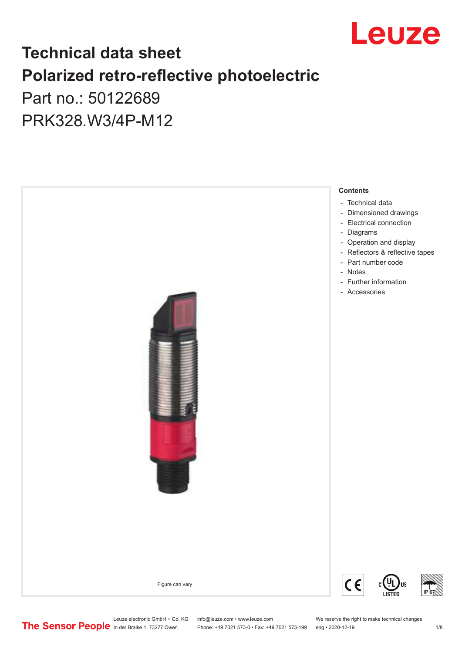

## **Technical data sheet Polarized retro-reflective photoelectric**  Part no.: 50122689

PRK328.W3/4P-M12



Leuze electronic GmbH + Co. KG info@leuze.com • www.leuze.com We reserve the right to make technical changes<br>
The Sensor People in der Braike 1, 73277 Owen Phone: +49 7021 573-0 • Fax: +49 7021 573-199 eng • 2020-12-19

Phone: +49 7021 573-0 • Fax: +49 7021 573-199 eng • 2020-12-19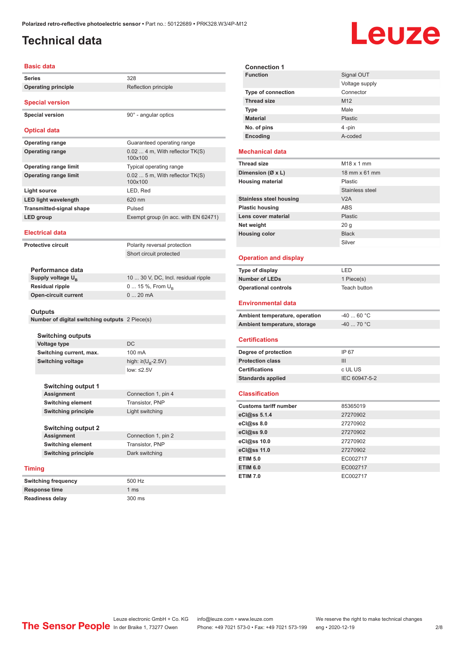#### <span id="page-1-0"></span>**Technical data**

## Leuze

| <b>Basic data</b>           |                                                |                                            | <b>Connection 1</b>                              |                             |
|-----------------------------|------------------------------------------------|--------------------------------------------|--------------------------------------------------|-----------------------------|
| <b>Series</b>               |                                                | 328                                        | <b>Function</b>                                  | Signal OU1                  |
|                             | <b>Operating principle</b>                     | Reflection principle                       |                                                  | Voltage sup                 |
|                             |                                                |                                            | <b>Type of connection</b>                        | Connector                   |
|                             | <b>Special version</b>                         |                                            | <b>Thread size</b>                               | M12                         |
|                             | <b>Special version</b>                         | 90° - angular optics                       | <b>Type</b>                                      | Male                        |
|                             |                                                |                                            | <b>Material</b>                                  | <b>Plastic</b>              |
|                             | <b>Optical data</b>                            |                                            | No. of pins                                      | 4 -pin                      |
|                             | <b>Operating range</b>                         | Guaranteed operating range                 | Encoding                                         | A-coded                     |
|                             | <b>Operating range</b>                         | $0.024$ m, With reflector TK(S)<br>100x100 | <b>Mechanical data</b>                           |                             |
|                             | <b>Operating range limit</b>                   | Typical operating range                    | <b>Thread size</b>                               | $M18 \times 1$ mr           |
|                             | <b>Operating range limit</b>                   | $0.025$ m, With reflector TK(S)<br>100x100 | Dimension (Ø x L)<br><b>Housing material</b>     | 18 mm $\times$ 6<br>Plastic |
| <b>Light source</b>         |                                                | LED, Red                                   |                                                  | Stainless s                 |
|                             | <b>LED light wavelength</b>                    | 620 nm                                     | <b>Stainless steel housing</b>                   | V2A                         |
|                             | <b>Transmitted-signal shape</b>                | Pulsed                                     | <b>Plastic housing</b>                           | <b>ABS</b>                  |
| LED group                   |                                                | Exempt group (in acc. with EN 62471)       | Lens cover material                              | <b>Plastic</b>              |
|                             |                                                |                                            | Net weight                                       | 20 g                        |
|                             | <b>Electrical data</b>                         |                                            | <b>Housing color</b>                             | <b>Black</b>                |
|                             | <b>Protective circuit</b>                      | Polarity reversal protection               |                                                  | Silver                      |
|                             |                                                | Short circuit protected                    | <b>Operation and display</b>                     |                             |
|                             | Performance data                               |                                            | Type of display                                  | LED                         |
|                             | Supply voltage U <sub>p</sub>                  | 10  30 V, DC, Incl. residual ripple        | <b>Number of LEDs</b>                            | 1 Piece(s)                  |
|                             | <b>Residual ripple</b>                         | 0  15 %, From $U_{\rm B}$                  | <b>Operational controls</b>                      | <b>Teach butto</b>          |
| <b>Open-circuit current</b> |                                                | 020mA                                      |                                                  |                             |
|                             |                                                |                                            | <b>Environmental data</b>                        |                             |
|                             | <b>Outputs</b>                                 |                                            | Ambient temperature, operation                   | $-4060$ °                   |
|                             | Number of digital switching outputs 2 Piece(s) |                                            | Ambient temperature, storage                     | -40  70 ° (                 |
|                             |                                                |                                            |                                                  |                             |
|                             | <b>Switching outputs</b>                       |                                            | <b>Certifications</b>                            |                             |
|                             | <b>Voltage type</b>                            | <b>DC</b>                                  |                                                  | IP 67                       |
|                             | Switching current, max.                        | 100 mA                                     | Degree of protection                             |                             |
|                             | <b>Switching voltage</b>                       | high: ≥( $U_{\rm B}$ -2.5V)                | <b>Protection class</b><br><b>Certifications</b> | Ш                           |
|                             |                                                | low: $\leq$ 2.5V                           |                                                  | c UL US                     |
|                             | <b>Switching output 1</b>                      |                                            | <b>Standards applied</b>                         | IEC 60947-                  |
|                             | <b>Assignment</b>                              | Connection 1, pin 4                        | <b>Classification</b>                            |                             |
|                             | <b>Switching element</b>                       | Transistor, PNP                            |                                                  |                             |
|                             | <b>Switching principle</b>                     | Light switching                            | <b>Customs tariff number</b>                     | 85365019                    |
|                             |                                                |                                            | eCl@ss 5.1.4                                     | 27270902                    |
|                             | <b>Switching output 2</b>                      |                                            | eCl@ss 8.0                                       | 27270902                    |
|                             | Assignment                                     | Connection 1, pin 2                        | eCl@ss 9.0                                       | 27270902                    |
| <b>Switching element</b>    |                                                | Transistor, PNP                            | eCl@ss 10.0                                      | 27270902                    |
|                             | <b>Switching principle</b>                     | Dark switching                             | eCl@ss 11.0                                      | 27270902                    |
|                             |                                                |                                            | <b>ETIM 5.0</b>                                  | EC002717                    |
| <b>Timing</b>               |                                                |                                            | <b>ETIM 6.0</b>                                  | EC002717                    |
|                             | <b>Switching frequency</b>                     | 500 Hz                                     | <b>ETIM 7.0</b>                                  | EC002717                    |
|                             | <b>Response time</b>                           | 1 ms                                       |                                                  |                             |

| <b>Connection 1</b>            |                        |
|--------------------------------|------------------------|
| <b>Function</b>                | Signal OUT             |
|                                | Voltage supply         |
| Type of connection             | Connector              |
| <b>Thread size</b>             | M12                    |
| <b>Type</b>                    | Male                   |
| <b>Material</b>                | Plastic                |
| No. of pins                    | 4 -pin                 |
| Encoding                       | A-coded                |
| <b>Mechanical data</b>         |                        |
| <b>Thread size</b>             | M <sub>18</sub> x 1 mm |
| Dimension (Ø x L)              | 18 mm x 61 mm          |
| <b>Housing material</b>        | Plastic                |
|                                | Stainless steel        |
| <b>Stainless steel housing</b> | V2A                    |
| <b>Plastic housing</b>         | <b>ABS</b>             |
| Lens cover material            | Plastic                |
| Net weight                     | 20 <sub>g</sub>        |
| <b>Housing color</b>           | <b>Black</b>           |
|                                | Silver                 |
|                                |                        |
| <b>Operation and display</b>   |                        |
| <b>Type of display</b>         | LED                    |
| <b>Number of LEDs</b>          | 1 Piece(s)             |
| <b>Operational controls</b>    | Teach button           |
| Environmental data             |                        |
| Ambient temperature, operation | $-40$ 60 °C            |
| Ambient temperature, storage   | $-40$ 70 °C            |
| <b>Certifications</b>          |                        |
| Degree of protection           | IP 67                  |
| <b>Protection class</b>        | III                    |
| <b>Certifications</b>          | c UL US                |
| <b>Standards applied</b>       | IEC 60947-5-2          |
| <b>Classification</b>          |                        |
| <b>Customs tariff number</b>   | 85365019               |
| eCl@ss 5.1.4                   | 27270902               |
| eCl@ss 8.0                     | 27270902               |
|                                |                        |
| eCl@ss 9.0                     | 27270902               |
| eCl@ss 10.0                    | 27270902               |
| eCl@ss 11.0                    | 27270902               |
| <b>ETIM 5.0</b>                | EC002717               |

**Readiness delay** 300 ms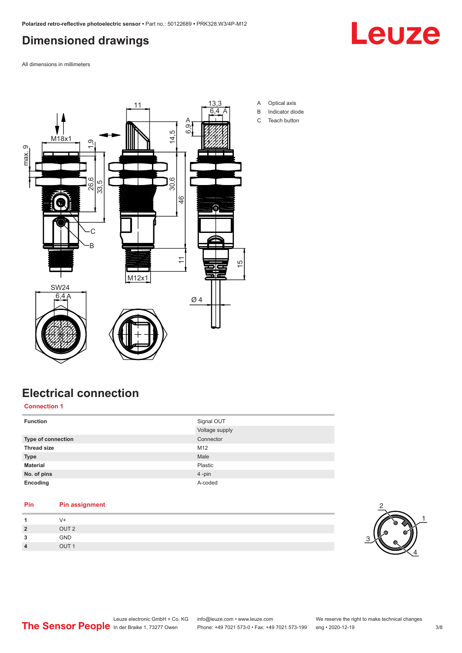#### <span id="page-2-0"></span>**Dimensioned drawings**

**Leuze** 

All dimensions in millimeters



## **Electrical connection**

#### **Connection 1**

| <b>Function</b>           | Signal OUT     |
|---------------------------|----------------|
|                           | Voltage supply |
| <b>Type of connection</b> | Connector      |
| <b>Thread size</b>        | M12            |
| <b>Type</b>               | Male           |
| <b>Material</b>           | Plastic        |
| No. of pins               | 4-pin          |
| Encoding                  | A-coded        |

| <b>Pin assignment</b> |
|-----------------------|
| V+                    |
| OUT <sub>2</sub>      |
| <b>GND</b>            |
| OUT <sub>1</sub>      |
|                       |

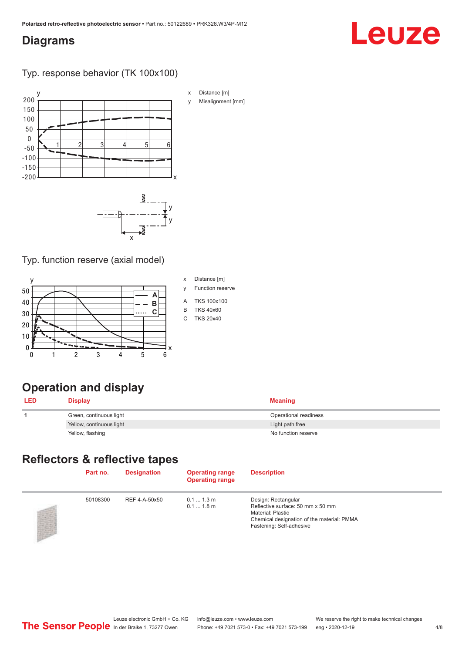#### <span id="page-3-0"></span>**Diagrams**

# Leuze

Typ. response behavior (TK 100x100)





#### Typ. function reserve (axial model)



- 
- y Function reserve
- A TKS 100x100
- B TKS 40x60
- C TKS 20x40

### **Operation and display**

| <b>LED</b> | Display                  | <b>Meaning</b>        |
|------------|--------------------------|-----------------------|
|            | Green, continuous light  | Operational readiness |
|            | Yellow, continuous light | Light path free       |
|            | Yellow, flashing         | No function reserve   |

#### **Reflectors & reflective tapes**

| Part no. | <b>Designation</b> | <b>Operating range</b><br><b>Operating range</b> | <b>Description</b>                                                                                                                                             |
|----------|--------------------|--------------------------------------------------|----------------------------------------------------------------------------------------------------------------------------------------------------------------|
| 50108300 | REF 4-A-50x50      | $0.11.3$ m<br>$0.11.8$ m                         | Design: Rectangular<br>Reflective surface: 50 mm x 50 mm<br><b>Material: Plastic</b><br>Chemical designation of the material: PMMA<br>Fastening: Self-adhesive |

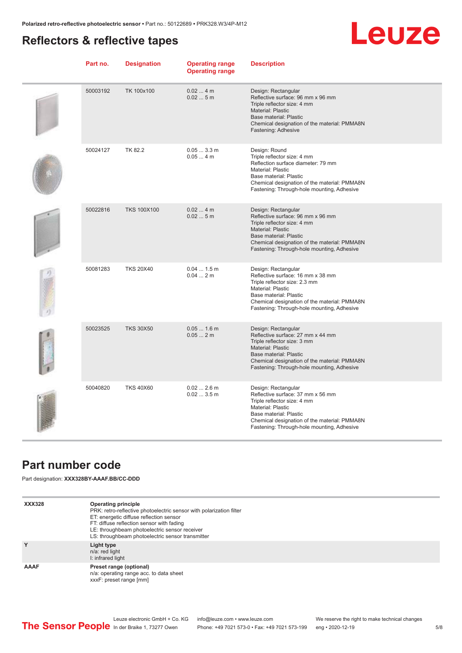#### <span id="page-4-0"></span>**Reflectors & reflective tapes**



| Part no. | <b>Designation</b> | <b>Operating range</b><br><b>Operating range</b> | <b>Description</b>                                                                                                                                                                                                                            |
|----------|--------------------|--------------------------------------------------|-----------------------------------------------------------------------------------------------------------------------------------------------------------------------------------------------------------------------------------------------|
| 50003192 | TK 100x100         | 0.024m<br>0.025m                                 | Design: Rectangular<br>Reflective surface: 96 mm x 96 mm<br>Triple reflector size: 4 mm<br><b>Material: Plastic</b><br>Base material: Plastic<br>Chemical designation of the material: PMMA8N<br>Fastening: Adhesive                          |
| 50024127 | TK 82.2            | 0.053.3 m<br>$0.054$ m                           | Design: Round<br>Triple reflector size: 4 mm<br>Reflection surface diameter: 79 mm<br>Material: Plastic<br>Base material: Plastic<br>Chemical designation of the material: PMMA8N<br>Fastening: Through-hole mounting, Adhesive               |
| 50022816 | <b>TKS 100X100</b> | 0.024m<br>0.025m                                 | Design: Rectangular<br>Reflective surface: 96 mm x 96 mm<br>Triple reflector size: 4 mm<br><b>Material: Plastic</b><br>Base material: Plastic<br>Chemical designation of the material: PMMA8N<br>Fastening: Through-hole mounting, Adhesive   |
| 50081283 | <b>TKS 20X40</b>   | $0.041.5$ m<br>0.042m                            | Design: Rectangular<br>Reflective surface: 16 mm x 38 mm<br>Triple reflector size: 2.3 mm<br><b>Material: Plastic</b><br>Base material: Plastic<br>Chemical designation of the material: PMMA8N<br>Fastening: Through-hole mounting, Adhesive |
| 50023525 | <b>TKS 30X50</b>   | $0.051.6$ m<br>0.052m                            | Design: Rectangular<br>Reflective surface: 27 mm x 44 mm<br>Triple reflector size: 3 mm<br><b>Material: Plastic</b><br>Base material: Plastic<br>Chemical designation of the material: PMMA8N<br>Fastening: Through-hole mounting, Adhesive   |
| 50040820 | <b>TKS 40X60</b>   | $0.022.6$ m<br>0.023.5m                          | Design: Rectangular<br>Reflective surface: 37 mm x 56 mm<br>Triple reflector size: 4 mm<br><b>Material: Plastic</b><br>Base material: Plastic<br>Chemical designation of the material: PMMA8N<br>Fastening: Through-hole mounting, Adhesive   |

#### **Part number code**

Part designation: **XXX328BY-AAAF.BB/CC-DDD**

| <b>XXX328</b> | Operating principle<br>PRK: retro-reflective photoelectric sensor with polarization filter<br>ET: energetic diffuse reflection sensor<br>FT: diffuse reflection sensor with fading<br>LE: throughbeam photoelectric sensor receiver<br>LS: throughbeam photoelectric sensor transmitter |
|---------------|-----------------------------------------------------------------------------------------------------------------------------------------------------------------------------------------------------------------------------------------------------------------------------------------|
| Y             | Light type<br>n/a: red light<br>I: infrared light                                                                                                                                                                                                                                       |
| AAAF          | Preset range (optional)<br>n/a: operating range acc. to data sheet<br>xxxF: preset range [mm]                                                                                                                                                                                           |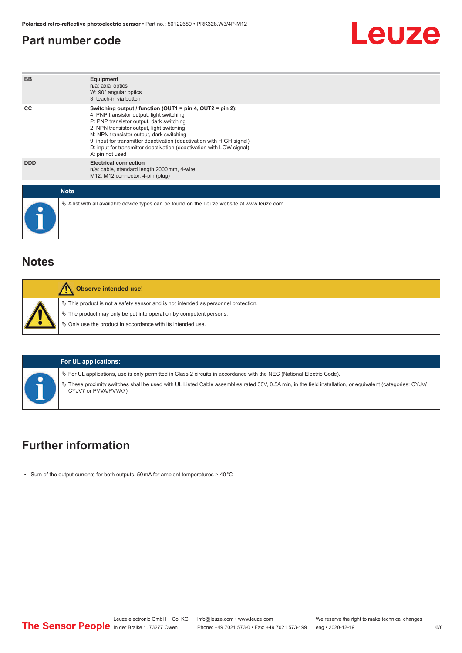#### <span id="page-5-0"></span>**Part number code**



#### **Notes**

| Observe intended use!                                                                                                                                                                                                            |
|----------------------------------------------------------------------------------------------------------------------------------------------------------------------------------------------------------------------------------|
| $\%$ This product is not a safety sensor and is not intended as personnel protection.<br>$\&$ The product may only be put into operation by competent persons.<br>$\%$ Only use the product in accordance with its intended use. |

#### **For UL applications:**

 $\%$  For UL applications, use is only permitted in Class 2 circuits in accordance with the NEC (National Electric Code).

ª These proximity switches shall be used with UL Listed Cable assemblies rated 30V, 0.5A min, in the field installation, or equivalent (categories: CYJV/ CYJV7 or PVVA/PVVA7)

#### **Further information**

• Sum of the output currents for both outputs, 50 mA for ambient temperatures > 40 °C

Leuze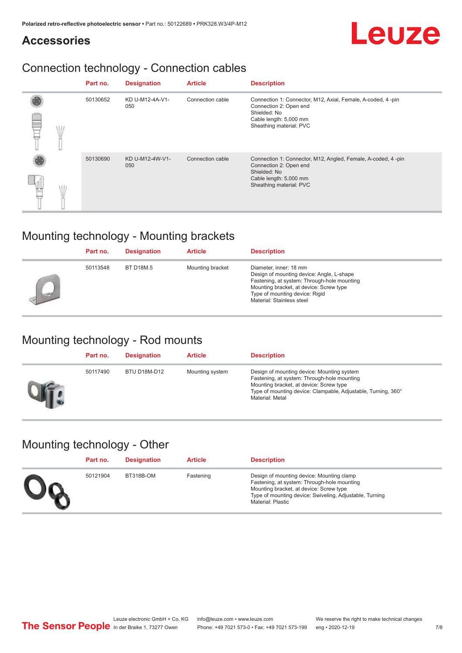#### **Accessories**

#### Connection technology - Connection cables

|  | Part no. | <b>Designation</b>     | <b>Article</b>   | <b>Description</b>                                                                                                                                          |
|--|----------|------------------------|------------------|-------------------------------------------------------------------------------------------------------------------------------------------------------------|
|  | 50130652 | KD U-M12-4A-V1-<br>050 | Connection cable | Connection 1: Connector, M12, Axial, Female, A-coded, 4-pin<br>Connection 2: Open end<br>Shielded: No<br>Cable length: 5,000 mm<br>Sheathing material: PVC  |
|  | 50130690 | KD U-M12-4W-V1-<br>050 | Connection cable | Connection 1: Connector, M12, Angled, Female, A-coded, 4-pin<br>Connection 2: Open end<br>Shielded: No<br>Cable length: 5,000 mm<br>Sheathing material: PVC |

#### Mounting technology - Mounting brackets

| Part no. | <b>Designation</b> | <b>Article</b>   | <b>Description</b>                                                                                                                                                                                                           |
|----------|--------------------|------------------|------------------------------------------------------------------------------------------------------------------------------------------------------------------------------------------------------------------------------|
| 50113548 | <b>BT D18M.5</b>   | Mounting bracket | Diameter, inner: 18 mm<br>Design of mounting device: Angle, L-shape<br>Fastening, at system: Through-hole mounting<br>Mounting bracket, at device: Screw type<br>Type of mounting device: Rigid<br>Material: Stainless steel |

#### Mounting technology - Rod mounts

| Part no. | <b>Designation</b> | <b>Article</b>  | <b>Description</b>                                                                                                                                                                                                       |
|----------|--------------------|-----------------|--------------------------------------------------------------------------------------------------------------------------------------------------------------------------------------------------------------------------|
| 50117490 | BTU D18M-D12       | Mounting system | Design of mounting device: Mounting system<br>Fastening, at system: Through-hole mounting<br>Mounting bracket, at device: Screw type<br>Type of mounting device: Clampable, Adjustable, Turning, 360°<br>Material: Metal |

#### Mounting technology - Other

| Part no. | <b>Designation</b> | <b>Article</b> | <b>Description</b>                                                                                                                                                                                                         |
|----------|--------------------|----------------|----------------------------------------------------------------------------------------------------------------------------------------------------------------------------------------------------------------------------|
| 50121904 | BT318B-OM          | Fastening      | Design of mounting device: Mounting clamp<br>Fastening, at system: Through-hole mounting<br>Mounting bracket, at device: Screw type<br>Type of mounting device: Swiveling, Adjustable, Turning<br><b>Material: Plastic</b> |

Leuze